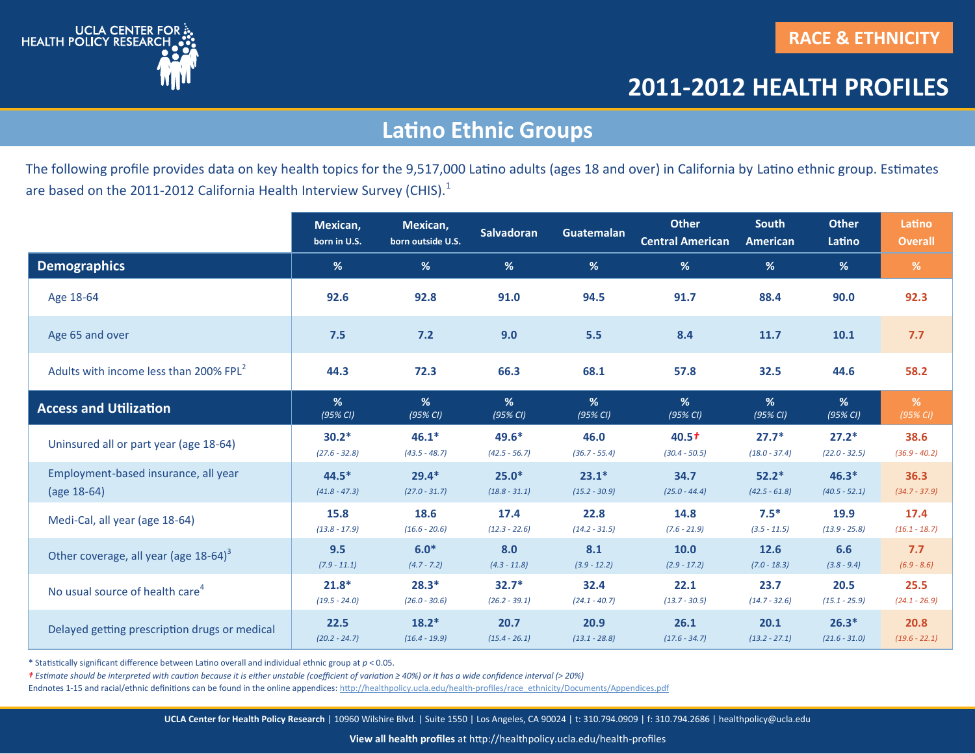

## **Latino Ethnic Groups**

The following profile provides data on key health topics for the 9,517,000 Latino adults (ages 18 and over) in California by Latino ethnic group. Estimates are based on the 2011-2012 California Health Interview Survey (CHIS).<sup>1</sup>

|                                                    | Mexican,<br>born in U.S. | Mexican,<br>born outside U.S. | <b>Salvadoran</b> | Guatemalan      | <b>Other</b><br><b>Central American</b> | <b>South</b><br>American | <b>Other</b><br>Latino | Latino<br><b>Overall</b> |
|----------------------------------------------------|--------------------------|-------------------------------|-------------------|-----------------|-----------------------------------------|--------------------------|------------------------|--------------------------|
| <b>Demographics</b>                                | %                        | %                             | %                 | %               | %                                       | %                        | %                      | %                        |
| Age 18-64                                          | 92.6                     | 92.8                          | 91.0              | 94.5            | 91.7                                    | 88.4                     | 90.0                   | 92.3                     |
| Age 65 and over                                    | 7.5                      | $7.2$                         | 9.0               | 5.5             | 8.4                                     | 11.7                     | 10.1                   | 7.7                      |
| Adults with income less than 200% FPL <sup>2</sup> | 44.3                     | 72.3                          | 66.3              | 68.1            | 57.8                                    | 32.5                     | 44.6                   | 58.2                     |
| <b>Access and Utilization</b>                      | %                        | %                             | %                 | %               | %                                       | %                        | %                      | %                        |
|                                                    | (95% CI)                 | (95% CI)                      | (95% CI)          | (95% CI)        | (95% CI)                                | (95% CI)                 | (95% CI)               | (95% CI)                 |
| Uninsured all or part year (age 18-64)             | $30.2*$                  | $46.1*$                       | 49.6*             | 46.0            | 40.5 <sup>†</sup>                       | $27.7*$                  | $27.2*$                | 38.6                     |
|                                                    | $(27.6 - 32.8)$          | $(43.5 - 48.7)$               | $(42.5 - 56.7)$   | $(36.7 - 55.4)$ | $(30.4 - 50.5)$                         | $(18.0 - 37.4)$          | $(22.0 - 32.5)$        | $(36.9 - 40.2)$          |
| Employment-based insurance, all year               | $44.5*$                  | $29.4*$                       | $25.0*$           | $23.1*$         | 34.7                                    | $52.2*$                  | $46.3*$                | 36.3                     |
| (age 18-64)                                        | $(41.8 - 47.3)$          | $(27.0 - 31.7)$               | $(18.8 - 31.1)$   | $(15.2 - 30.9)$ | $(25.0 - 44.4)$                         | $(42.5 - 61.8)$          | $(40.5 - 52.1)$        | $(34.7 - 37.9)$          |
| Medi-Cal, all year (age 18-64)                     | 15.8                     | 18.6                          | 17.4              | 22.8            | 14.8                                    | $7.5*$                   | 19.9                   | 17.4                     |
|                                                    | $(13.8 - 17.9)$          | $(16.6 - 20.6)$               | $(12.3 - 22.6)$   | $(14.2 - 31.5)$ | $(7.6 - 21.9)$                          | $(3.5 - 11.5)$           | $(13.9 - 25.8)$        | $(16.1 - 18.7)$          |
| Other coverage, all year (age 18-64) <sup>3</sup>  | 9.5                      | $6.0*$                        | 8.0               | 8.1             | 10.0                                    | 12.6                     | 6.6                    | 7.7                      |
|                                                    | $(7.9 - 11.1)$           | $(4.7 - 7.2)$                 | $(4.3 - 11.8)$    | $(3.9 - 12.2)$  | $(2.9 - 17.2)$                          | $(7.0 - 18.3)$           | $(3.8 - 9.4)$          | $(6.9 - 8.6)$            |
| No usual source of health care <sup>4</sup>        | $21.8*$                  | $28.3*$                       | $32.7*$           | 32.4            | 22.1                                    | 23.7                     | 20.5                   | 25.5                     |
|                                                    | $(19.5 - 24.0)$          | $(26.0 - 30.6)$               | $(26.2 - 39.1)$   | $(24.1 - 40.7)$ | $(13.7 - 30.5)$                         | $(14.7 - 32.6)$          | $(15.1 - 25.9)$        | $(24.1 - 26.9)$          |
| Delayed getting prescription drugs or medical      | 22.5                     | $18.2*$                       | 20.7              | 20.9            | 26.1                                    | 20.1                     | $26.3*$                | 20.8                     |
|                                                    | $(20.2 - 24.7)$          | $(16.4 - 19.9)$               | $(15.4 - 26.1)$   | $(13.1 - 28.8)$ | $(17.6 - 34.7)$                         | $(13.2 - 27.1)$          | $(21.6 - 31.0)$        | $(19.6 - 22.1)$          |

**\*** Statistically significant difference between Latino overall and individual ethnic group at *p* < 0.05.

*† Estimate should be interpreted with caution because it is either unstable (coefficient of variation ≥ 40%) or it has a wide confidence interval ( 20%)*

Endnotes 1-15 and racial/ethnic definitions can be found in the online appendices: http://healthpolicy.ucla.edu/health-profiles/race\_ethnicity/Documents/Appendices.pdf